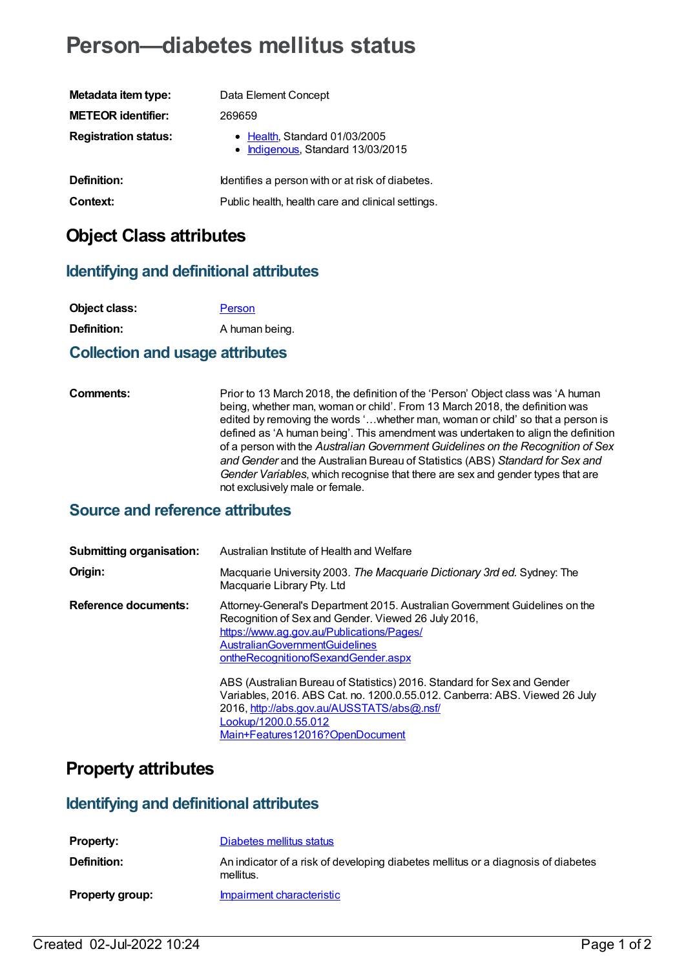# **Person—diabetes mellitus status**

| Metadata item type:         | Data Element Concept                                               |
|-----------------------------|--------------------------------------------------------------------|
| <b>METEOR identifier:</b>   | 269659                                                             |
| <b>Registration status:</b> | • Health, Standard 01/03/2005<br>• Indigenous, Standard 13/03/2015 |
| Definition:                 | Identifies a person with or at risk of diabetes.                   |
| Context:                    | Public health, health care and clinical settings.                  |

## **Object Class attributes**

#### **Identifying and definitional attributes**

| Object class:      | Person         |
|--------------------|----------------|
| <b>Definition:</b> | A human being. |

#### **Collection and usage attributes**

**Comments:** Prior to 13 March 2018, the definition of the 'Person' Object class was 'A human being, whether man, woman or child'. From 13 March 2018, the definition was edited by removing the words '…whether man, woman or child' so that a person is defined as 'A human being'. This amendment was undertaken to align the definition of a person with the *Australian Government Guidelines on the Recognition of Sex and Gender* and the Australian Bureau of Statistics (ABS) *Standard for Sex and Gender Variables*, which recognise that there are sex and gender types that are not exclusively male or female.

#### **Source and reference attributes**

| <b>Submitting organisation:</b> | Australian Institute of Health and Welfare                                                                                                                                                                                                                      |
|---------------------------------|-----------------------------------------------------------------------------------------------------------------------------------------------------------------------------------------------------------------------------------------------------------------|
| Origin:                         | Macquarie University 2003. The Macquarie Dictionary 3rd ed. Sydney: The<br>Macquarie Library Pty. Ltd                                                                                                                                                           |
| Reference documents:            | Attorney-General's Department 2015. Australian Government Guidelines on the<br>Recognition of Sex and Gender. Viewed 26 July 2016,<br>https://www.ag.gov.au/Publications/Pages/<br><b>AustralianGovernmentGuidelines</b><br>ontheRecognitionofSexandGender.aspx |
|                                 | ABS (Australian Bureau of Statistics) 2016. Standard for Sex and Gender<br>Variables, 2016. ABS Cat. no. 1200.0.55.012. Canberra: ABS. Viewed 26 July<br>2016, http://abs.gov.au/AUSSTATS/abs@.nsf/<br>Lookup/1200.0.55.012<br>Main+Features12016?OpenDocument  |

## **Property attributes**

#### **Identifying and definitional attributes**

| <b>Property:</b>       | Diabetes mellitus status                                                                       |
|------------------------|------------------------------------------------------------------------------------------------|
| Definition:            | An indicator of a risk of developing diabetes mellitus or a diagnosis of diabetes<br>mellitus. |
| <b>Property group:</b> | Impairment characteristic                                                                      |